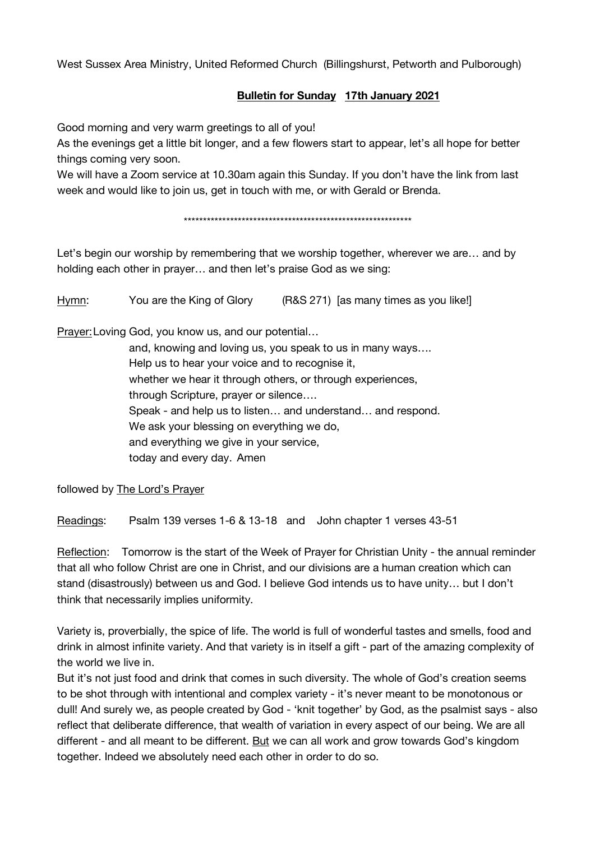West Sussex Area Ministry, United Reformed Church (Billingshurst, Petworth and Pulborough)

## **Bulletin for Sunday 17th January 2021**

Good morning and very warm greetings to all of you!

As the evenings get a little bit longer, and a few flowers start to appear, let's all hope for better things coming very soon.

We will have a Zoom service at 10.30am again this Sunday. If you don't have the link from last week and would like to join us, get in touch with me, or with Gerald or Brenda.

\*\*\*\*\*\*\*\*\*\*\*\*\*\*\*\*\*\*\*\*\*\*\*\*\*\*\*\*\*\*\*\*\*\*\*\*\*\*\*\*\*\*\*\*\*\*\*\*\*\*\*\*\*\*\*\*\*\*\*

Let's begin our worship by remembering that we worship together, wherever we are… and by holding each other in prayer… and then let's praise God as we sing:

Hymn: You are the King of Glory (R&S 271) [as many times as you like!]

Prayer:Loving God, you know us, and our potential…

and, knowing and loving us, you speak to us in many ways…. Help us to hear your voice and to recognise it, whether we hear it through others, or through experiences, through Scripture, prayer or silence…. Speak - and help us to listen… and understand… and respond. We ask your blessing on everything we do, and everything we give in your service, today and every day. Amen

followed by The Lord's Prayer

Readings: Psalm 139 verses 1-6 & 13-18 and John chapter 1 verses 43-51

Reflection: Tomorrow is the start of the Week of Prayer for Christian Unity - the annual reminder that all who follow Christ are one in Christ, and our divisions are a human creation which can stand (disastrously) between us and God. I believe God intends us to have unity… but I don't think that necessarily implies uniformity.

Variety is, proverbially, the spice of life. The world is full of wonderful tastes and smells, food and drink in almost infinite variety. And that variety is in itself a gift - part of the amazing complexity of the world we live in.

But it's not just food and drink that comes in such diversity. The whole of God's creation seems to be shot through with intentional and complex variety - it's never meant to be monotonous or dull! And surely we, as people created by God - 'knit together' by God, as the psalmist says - also reflect that deliberate difference, that wealth of variation in every aspect of our being. We are all different - and all meant to be different. But we can all work and grow towards God's kingdom together. Indeed we absolutely need each other in order to do so.